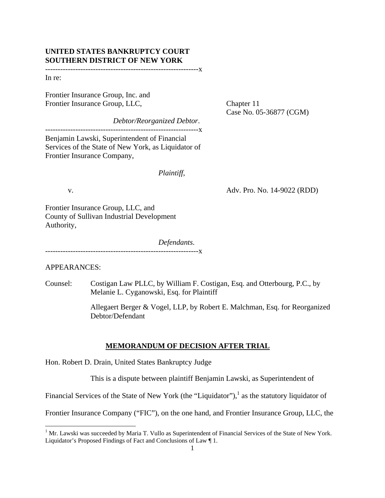# **UNITED STATES BANKRUPTCY COURT SOUTHERN DISTRICT OF NEW YORK**

-------------------------------------------------------------x

In re:

Frontier Insurance Group, Inc. and Frontier Insurance Group, LLC, Chapter 11

Case No. 05-36877 (CGM)

*Debtor/Reorganized Debtor*.

-------------------------------------------------------------x

Benjamin Lawski, Superintendent of Financial Services of the State of New York, as Liquidator of Frontier Insurance Company,

#### *Plaintiff*,

v. Adv. Pro. No. 14-9022 (RDD)

Frontier Insurance Group, LLC, and County of Sullivan Industrial Development Authority,

 *Defendants*. -------------------------------------------------------------x

APPEARANCES:

Counsel: Costigan Law PLLC, by William F. Costigan, Esq. and Otterbourg, P.C., by Melanie L. Cyganowski, Esq. for Plaintiff

> Allegaert Berger & Vogel, LLP, by Robert E. Malchman, Esq. for Reorganized Debtor/Defendant

#### **MEMORANDUM OF DECISION AFTER TRIAL**

Hon. Robert D. Drain, United States Bankruptcy Judge

This is a dispute between plaintiff Benjamin Lawski, as Superintendent of

Financial Services of the State of New York (the "Liquidator"), $<sup>1</sup>$  as the statutory liquidator of</sup>

Frontier Insurance Company ("FIC"), on the one hand, and Frontier Insurance Group, LLC, the

<sup>&</sup>lt;sup>1</sup> Mr. Lawski was succeeded by Maria T. Vullo as Superintendent of Financial Services of the State of New York. Liquidator's Proposed Findings of Fact and Conclusions of Law ¶ 1.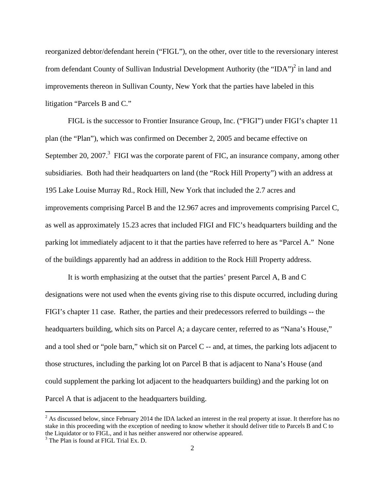reorganized debtor/defendant herein ("FIGL"), on the other, over title to the reversionary interest from defendant County of Sullivan Industrial Development Authority (the "IDA")<sup>2</sup> in land and improvements thereon in Sullivan County, New York that the parties have labeled in this litigation "Parcels B and C."

 FIGL is the successor to Frontier Insurance Group, Inc. ("FIGI") under FIGI's chapter 11 plan (the "Plan"), which was confirmed on December 2, 2005 and became effective on September 20, 2007. $3$  FIGI was the corporate parent of FIC, an insurance company, among other subsidiaries. Both had their headquarters on land (the "Rock Hill Property") with an address at 195 Lake Louise Murray Rd., Rock Hill, New York that included the 2.7 acres and improvements comprising Parcel B and the 12.967 acres and improvements comprising Parcel C, as well as approximately 15.23 acres that included FIGI and FIC's headquarters building and the parking lot immediately adjacent to it that the parties have referred to here as "Parcel A." None of the buildings apparently had an address in addition to the Rock Hill Property address.

It is worth emphasizing at the outset that the parties' present Parcel A, B and C designations were not used when the events giving rise to this dispute occurred, including during FIGI's chapter 11 case. Rather, the parties and their predecessors referred to buildings -- the headquarters building, which sits on Parcel A; a daycare center, referred to as "Nana's House," and a tool shed or "pole barn," which sit on Parcel C -- and, at times, the parking lots adjacent to those structures, including the parking lot on Parcel B that is adjacent to Nana's House (and could supplement the parking lot adjacent to the headquarters building) and the parking lot on Parcel A that is adjacent to the headquarters building.

<sup>&</sup>lt;sup>2</sup> As discussed below, since February 2014 the IDA lacked an interest in the real property at issue. It therefore has no stake in this proceeding with the exception of needing to know whether it should deliver title to Parcels B and C to the Liquidator or to FIGL, and it has neither answered nor otherwise appeared.

 $3$  The Plan is found at FIGL Trial Ex. D.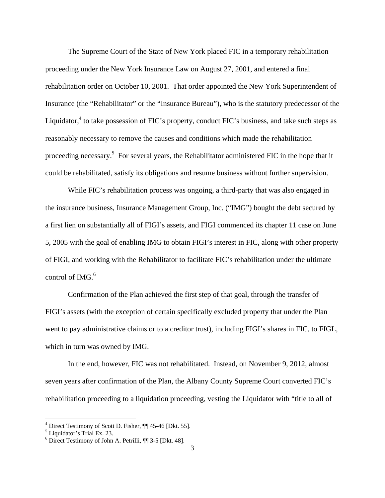The Supreme Court of the State of New York placed FIC in a temporary rehabilitation proceeding under the New York Insurance Law on August 27, 2001, and entered a final rehabilitation order on October 10, 2001. That order appointed the New York Superintendent of Insurance (the "Rehabilitator" or the "Insurance Bureau"), who is the statutory predecessor of the Liquidator,<sup>4</sup> to take possession of FIC's property, conduct FIC's business, and take such steps as reasonably necessary to remove the causes and conditions which made the rehabilitation proceeding necessary.<sup>5</sup> For several years, the Rehabilitator administered FIC in the hope that it could be rehabilitated, satisfy its obligations and resume business without further supervision.

While FIC's rehabilitation process was ongoing, a third-party that was also engaged in the insurance business, Insurance Management Group, Inc. ("IMG") bought the debt secured by a first lien on substantially all of FIGI's assets, and FIGI commenced its chapter 11 case on June 5, 2005 with the goal of enabling IMG to obtain FIGI's interest in FIC, along with other property of FIGI, and working with the Rehabilitator to facilitate FIC's rehabilitation under the ultimate control of IMG. $^{6}$ 

Confirmation of the Plan achieved the first step of that goal, through the transfer of FIGI's assets (with the exception of certain specifically excluded property that under the Plan went to pay administrative claims or to a creditor trust), including FIGI's shares in FIC, to FIGL, which in turn was owned by IMG.

In the end, however, FIC was not rehabilitated. Instead, on November 9, 2012, almost seven years after confirmation of the Plan, the Albany County Supreme Court converted FIC's rehabilitation proceeding to a liquidation proceeding, vesting the Liquidator with "title to all of

<sup>&</sup>lt;sup>4</sup> Direct Testimony of Scott D. Fisher, ¶ 45-46 [Dkt. 55].

<sup>5</sup> Liquidator's Trial Ex. 23.

<sup>6</sup> Direct Testimony of John A. Petrilli, ¶¶ 3-5 [Dkt. 48].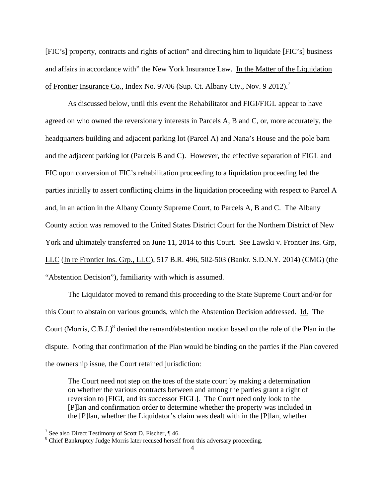[FIC's] property, contracts and rights of action" and directing him to liquidate [FIC's] business and affairs in accordance with" the New York Insurance Law. In the Matter of the Liquidation of Frontier Insurance Co., Index No. 97/06 (Sup. Ct. Albany Cty., Nov. 9 2012).<sup>7</sup>

As discussed below, until this event the Rehabilitator and FIGI/FIGL appear to have agreed on who owned the reversionary interests in Parcels A, B and C, or, more accurately, the headquarters building and adjacent parking lot (Parcel A) and Nana's House and the pole barn and the adjacent parking lot (Parcels B and C). However, the effective separation of FIGL and FIC upon conversion of FIC's rehabilitation proceeding to a liquidation proceeding led the parties initially to assert conflicting claims in the liquidation proceeding with respect to Parcel A and, in an action in the Albany County Supreme Court, to Parcels A, B and C. The Albany County action was removed to the United States District Court for the Northern District of New York and ultimately transferred on June 11, 2014 to this Court. See Lawski v. Frontier Ins. Grp, LLC (In re Frontier Ins. Grp., LLC), 517 B.R. 496, 502-503 (Bankr. S.D.N.Y. 2014) (CMG) (the "Abstention Decision"), familiarity with which is assumed.

 The Liquidator moved to remand this proceeding to the State Supreme Court and/or for this Court to abstain on various grounds, which the Abstention Decision addressed. Id. The Court (Morris, C.B.J.)<sup>8</sup> denied the remand/abstention motion based on the role of the Plan in the dispute. Noting that confirmation of the Plan would be binding on the parties if the Plan covered the ownership issue, the Court retained jurisdiction:

The Court need not step on the toes of the state court by making a determination on whether the various contracts between and among the parties grant a right of reversion to [FIGI, and its successor FIGL]. The Court need only look to the [P]lan and confirmation order to determine whether the property was included in the [P]lan, whether the Liquidator's claim was dealt with in the [P]lan, whether

<sup>&</sup>lt;sup>7</sup> See also Direct Testimony of Scott D. Fischer, ¶ 46.

<sup>&</sup>lt;sup>8</sup> Chief Bankruptcy Judge Morris later recused herself from this adversary proceeding.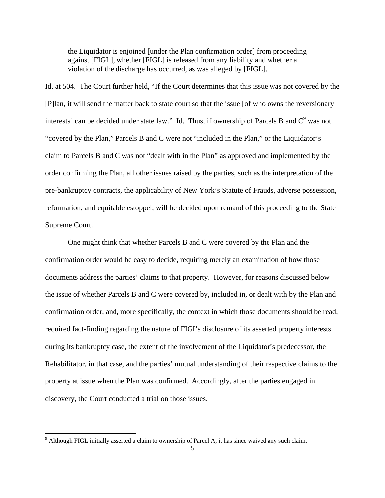the Liquidator is enjoined [under the Plan confirmation order] from proceeding against [FIGL], whether [FIGL] is released from any liability and whether a violation of the discharge has occurred, as was alleged by [FIGL].

Id. at 504. The Court further held, "If the Court determines that this issue was not covered by the [P]lan, it will send the matter back to state court so that the issue [of who owns the reversionary interests] can be decided under state law." Id. Thus, if ownership of Parcels B and  $C^9$  was not "covered by the Plan," Parcels B and C were not "included in the Plan," or the Liquidator's claim to Parcels B and C was not "dealt with in the Plan" as approved and implemented by the order confirming the Plan, all other issues raised by the parties, such as the interpretation of the pre-bankruptcy contracts, the applicability of New York's Statute of Frauds, adverse possession, reformation, and equitable estoppel, will be decided upon remand of this proceeding to the State Supreme Court.

 One might think that whether Parcels B and C were covered by the Plan and the confirmation order would be easy to decide, requiring merely an examination of how those documents address the parties' claims to that property. However, for reasons discussed below the issue of whether Parcels B and C were covered by, included in, or dealt with by the Plan and confirmation order, and, more specifically, the context in which those documents should be read, required fact-finding regarding the nature of FIGI's disclosure of its asserted property interests during its bankruptcy case, the extent of the involvement of the Liquidator's predecessor, the Rehabilitator, in that case, and the parties' mutual understanding of their respective claims to the property at issue when the Plan was confirmed. Accordingly, after the parties engaged in discovery, the Court conducted a trial on those issues.

<sup>&</sup>lt;sup>9</sup> Although FIGL initially asserted a claim to ownership of Parcel A, it has since waived any such claim.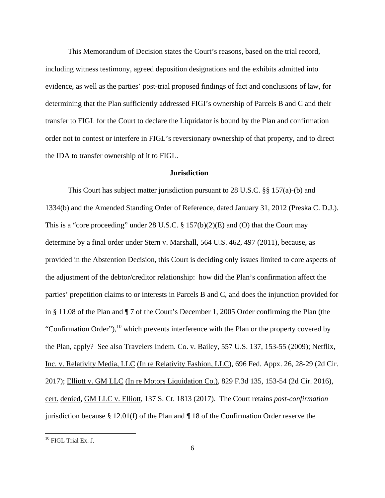This Memorandum of Decision states the Court's reasons, based on the trial record, including witness testimony, agreed deposition designations and the exhibits admitted into evidence, as well as the parties' post-trial proposed findings of fact and conclusions of law, for determining that the Plan sufficiently addressed FIGI's ownership of Parcels B and C and their transfer to FIGL for the Court to declare the Liquidator is bound by the Plan and confirmation order not to contest or interfere in FIGL's reversionary ownership of that property, and to direct the IDA to transfer ownership of it to FIGL.

# **Jurisdiction**

 This Court has subject matter jurisdiction pursuant to 28 U.S.C. §§ 157(a)-(b) and 1334(b) and the Amended Standing Order of Reference, dated January 31, 2012 (Preska C. D.J.). This is a "core proceeding" under 28 U.S.C. § 157(b)(2)(E) and (O) that the Court may determine by a final order under Stern v. Marshall, 564 U.S. 462, 497 (2011), because, as provided in the Abstention Decision, this Court is deciding only issues limited to core aspects of the adjustment of the debtor/creditor relationship: how did the Plan's confirmation affect the parties' prepetition claims to or interests in Parcels B and C, and does the injunction provided for in § 11.08 of the Plan and ¶ 7 of the Court's December 1, 2005 Order confirming the Plan (the "Confirmation Order"), $^{10}$  which prevents interference with the Plan or the property covered by the Plan, apply? See also Travelers Indem. Co. v. Bailey, 557 U.S. 137, 153-55 (2009); Netflix, Inc. v. Relativity Media, LLC (In re Relativity Fashion, LLC), 696 Fed. Appx. 26, 28-29 (2d Cir. 2017); Elliott v. GM LLC (In re Motors Liquidation Co.), 829 F.3d 135, 153-54 (2d Cir. 2016), cert. denied, GM LLC v. Elliott, 137 S. Ct. 1813 (2017). The Court retains *post-confirmation* jurisdiction because § 12.01(f) of the Plan and ¶ 18 of the Confirmation Order reserve the

<sup>&</sup>lt;sup>10</sup> FIGL Trial Ex. J.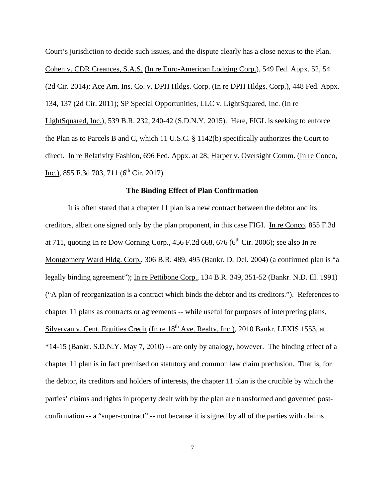Court's jurisdiction to decide such issues, and the dispute clearly has a close nexus to the Plan. Cohen v. CDR Creances, S.A.S. (In re Euro-American Lodging Corp.), 549 Fed. Appx. 52, 54 (2d Cir. 2014); Ace Am. Ins. Co. v. DPH Hldgs. Corp. (In re DPH Hldgs. Corp.), 448 Fed. Appx. 134, 137 (2d Cir. 2011); SP Special Opportunities, LLC v. LightSquared, Inc. (In re LightSquared, Inc.), 539 B.R. 232, 240-42 (S.D.N.Y. 2015). Here, FIGL is seeking to enforce the Plan as to Parcels B and C, which 11 U.S.C. § 1142(b) specifically authorizes the Court to direct. In re Relativity Fashion, 696 Fed. Appx. at 28; Harper v. Oversight Comm. (In re Conco, Inc.), 855 F.3d 703, 711 ( $6<sup>th</sup>$  Cir. 2017).

## **The Binding Effect of Plan Confirmation**

It is often stated that a chapter 11 plan is a new contract between the debtor and its creditors, albeit one signed only by the plan proponent, in this case FIGI. In re Conco, 855 F.3d at 711, quoting In re Dow Corning Corp., 456 F.2d 668, 676 ( $6<sup>th</sup>$  Cir. 2006); see also In re Montgomery Ward Hldg. Corp., 306 B.R. 489, 495 (Bankr. D. Del. 2004) (a confirmed plan is "a legally binding agreement"); In re Pettibone Corp., 134 B.R. 349, 351-52 (Bankr. N.D. Ill. 1991) ("A plan of reorganization is a contract which binds the debtor and its creditors."). References to chapter 11 plans as contracts or agreements -- while useful for purposes of interpreting plans, Silvervan v. Cent. Equities Credit (In re  $18<sup>th</sup>$  Ave. Realty, Inc.), 2010 Bankr. LEXIS 1553, at \*14-15 (Bankr. S.D.N.Y. May 7, 2010) -- are only by analogy, however. The binding effect of a chapter 11 plan is in fact premised on statutory and common law claim preclusion. That is, for the debtor, its creditors and holders of interests, the chapter 11 plan is the crucible by which the parties' claims and rights in property dealt with by the plan are transformed and governed postconfirmation -- a "super-contract" -- not because it is signed by all of the parties with claims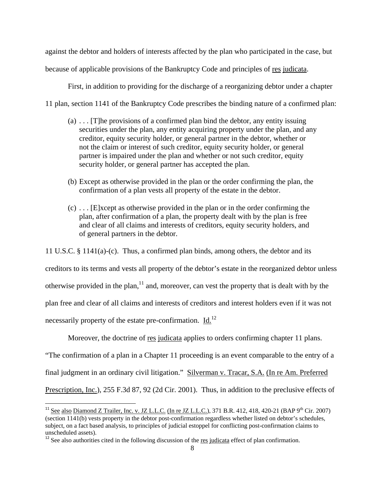against the debtor and holders of interests affected by the plan who participated in the case, but

because of applicable provisions of the Bankruptcy Code and principles of res judicata.

First, in addition to providing for the discharge of a reorganizing debtor under a chapter

11 plan, section 1141 of the Bankruptcy Code prescribes the binding nature of a confirmed plan:

- $(a)$  ... [T]he provisions of a confirmed plan bind the debtor, any entity issuing securities under the plan, any entity acquiring property under the plan, and any creditor, equity security holder, or general partner in the debtor, whether or not the claim or interest of such creditor, equity security holder, or general partner is impaired under the plan and whether or not such creditor, equity security holder, or general partner has accepted the plan.
- (b) Except as otherwise provided in the plan or the order confirming the plan, the confirmation of a plan vests all property of the estate in the debtor.
- (c) . . . [E]xcept as otherwise provided in the plan or in the order confirming the plan, after confirmation of a plan, the property dealt with by the plan is free and clear of all claims and interests of creditors, equity security holders, and of general partners in the debtor.

11 U.S.C. § 1141(a)-(c). Thus, a confirmed plan binds, among others, the debtor and its

creditors to its terms and vests all property of the debtor's estate in the reorganized debtor unless

otherwise provided in the plan,  $\frac{11}{11}$  and, moreover, can vest the property that is dealt with by the

plan free and clear of all claims and interests of creditors and interest holders even if it was not

necessarily property of the estate pre-confirmation.  $Id.<sup>12</sup>$ 

Moreover, the doctrine of <u>res judicata</u> applies to orders confirming chapter 11 plans.

"The confirmation of a plan in a Chapter 11 proceeding is an event comparable to the entry of a

final judgment in an ordinary civil litigation." Silverman v. Tracar, S.A. (In re Am. Preferred

Prescription, Inc.), 255 F.3d 87, 92 (2d Cir. 2001). Thus, in addition to the preclusive effects of

<sup>&</sup>lt;sup>11</sup> See also Diamond Z Trailer, Inc. v. JZ L.L.C. (In re JZ L.L.C.), 371 B.R. 412, 418, 420-21 (BAP 9<sup>th</sup> Cir. 2007) (section 1141(b) vests property in the debtor post-confirmation regardless whether listed on debtor's schedules, subject, on a fact based analysis, to principles of judicial estoppel for conflicting post-confirmation claims to unscheduled assets).

 $12$  See also authorities cited in the following discussion of the res judicata effect of plan confirmation.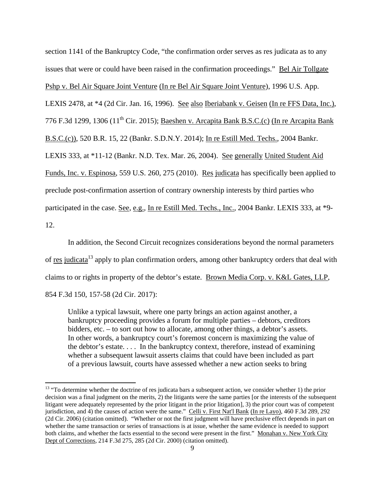section 1141 of the Bankruptcy Code, "the confirmation order serves as res judicata as to any issues that were or could have been raised in the confirmation proceedings." Bel Air Tollgate Pshp v. Bel Air Square Joint Venture (In re Bel Air Square Joint Venture), 1996 U.S. App. LEXIS 2478, at \*4 (2d Cir. Jan. 16, 1996). See also Iberiabank v. Geisen (In re FFS Data, Inc.), 776 F.3d 1299, 1306 ( $11<sup>th</sup>$  Cir. 2015); Baeshen v. Arcapita Bank B.S.C.(c) (In re Arcapita Bank B.S.C.(c)), 520 B.R. 15, 22 (Bankr. S.D.N.Y. 2014); In re Estill Med. Techs., 2004 Bankr. LEXIS 333, at \*11-12 (Bankr. N.D. Tex. Mar. 26, 2004). See generally United Student Aid Funds, Inc. v. Espinosa, 559 U.S. 260, 275 (2010). Res judicata has specifically been applied to preclude post-confirmation assertion of contrary ownership interests by third parties who participated in the case. See, e.g., In re Estill Med. Techs., Inc., 2004 Bankr. LEXIS 333, at \*9- 12.

 In addition, the Second Circuit recognizes considerations beyond the normal parameters of res judicata<sup>13</sup> apply to plan confirmation orders, among other bankruptcy orders that deal with claims to or rights in property of the debtor's estate. Brown Media Corp. v. K&L Gates, LLP, 854 F.3d 150, 157-58 (2d Cir. 2017):

Unlike a typical lawsuit, where one party brings an action against another, a bankruptcy proceeding provides a forum for multiple parties – debtors, creditors bidders, etc. – to sort out how to allocate, among other things, a debtor's assets. In other words, a bankruptcy court's foremost concern is maximizing the value of the debtor's estate. . . . In the bankruptcy context, therefore, instead of examining whether a subsequent lawsuit asserts claims that could have been included as part of a previous lawsuit, courts have assessed whether a new action seeks to bring

 $13$  "To determine whether the doctrine of res judicata bars a subsequent action, we consider whether 1) the prior decision was a final judgment on the merits, 2) the litigants were the same parties [or the interests of the subsequent litigant were adequately represented by the prior litigant in the prior litigation], 3) the prior court was of competent jurisdiction, and 4) the causes of action were the same." Celli v. First Nat'l Bank (In re Layo), 460 F.3d 289, 292 (2d Cir. 2006) (citation omitted). "Whether or not the first judgment will have preclusive effect depends in part on whether the same transaction or series of transactions is at issue, whether the same evidence is needed to support both claims, and whether the facts essential to the second were present in the first." Monahan v. New York City Dept of Corrections, 214 F.3d 275, 285 (2d Cir. 2000) (citation omitted).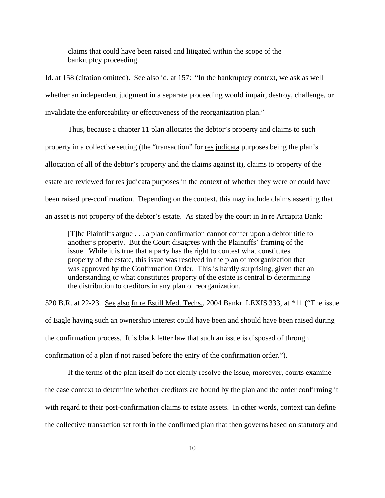claims that could have been raised and litigated within the scope of the bankruptcy proceeding.

Id. at 158 (citation omitted). See also id. at 157: "In the bankruptcy context, we ask as well whether an independent judgment in a separate proceeding would impair, destroy, challenge, or invalidate the enforceability or effectiveness of the reorganization plan."

Thus, because a chapter 11 plan allocates the debtor's property and claims to such property in a collective setting (the "transaction" for res judicata purposes being the plan's allocation of all of the debtor's property and the claims against it), claims to property of the estate are reviewed for <u>res judicata</u> purposes in the context of whether they were or could have been raised pre-confirmation. Depending on the context, this may include claims asserting that an asset is not property of the debtor's estate. As stated by the court in In re Arcapita Bank:

[T]he Plaintiffs argue . . . a plan confirmation cannot confer upon a debtor title to another's property. But the Court disagrees with the Plaintiffs' framing of the issue. While it is true that a party has the right to contest what constitutes property of the estate, this issue was resolved in the plan of reorganization that was approved by the Confirmation Order. This is hardly surprising, given that an understanding or what constitutes property of the estate is central to determining the distribution to creditors in any plan of reorganization.

520 B.R. at 22-23. See also In re Estill Med. Techs., 2004 Bankr. LEXIS 333, at \*11 ("The issue of Eagle having such an ownership interest could have been and should have been raised during the confirmation process. It is black letter law that such an issue is disposed of through confirmation of a plan if not raised before the entry of the confirmation order.").

If the terms of the plan itself do not clearly resolve the issue, moreover, courts examine the case context to determine whether creditors are bound by the plan and the order confirming it with regard to their post-confirmation claims to estate assets. In other words, context can define the collective transaction set forth in the confirmed plan that then governs based on statutory and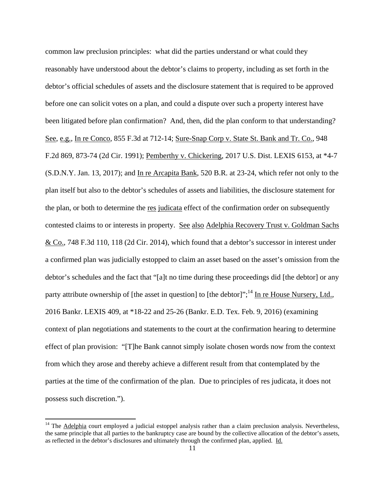common law preclusion principles: what did the parties understand or what could they reasonably have understood about the debtor's claims to property, including as set forth in the debtor's official schedules of assets and the disclosure statement that is required to be approved before one can solicit votes on a plan, and could a dispute over such a property interest have been litigated before plan confirmation? And, then, did the plan conform to that understanding? See, e.g., In re Conco, 855 F.3d at 712-14; Sure-Snap Corp v. State St. Bank and Tr. Co., 948 F.2d 869, 873-74 (2d Cir. 1991); Pemberthy v. Chickering, 2017 U.S. Dist. LEXIS 6153, at \*4-7 (S.D.N.Y. Jan. 13, 2017); and In re Arcapita Bank, 520 B.R. at 23-24, which refer not only to the plan itself but also to the debtor's schedules of assets and liabilities, the disclosure statement for the plan, or both to determine the res judicata effect of the confirmation order on subsequently contested claims to or interests in property. See also Adelphia Recovery Trust v. Goldman Sachs & Co., 748 F.3d 110, 118 (2d Cir. 2014), which found that a debtor's successor in interest under a confirmed plan was judicially estopped to claim an asset based on the asset's omission from the debtor's schedules and the fact that "[a]t no time during these proceedings did [the debtor] or any party attribute ownership of [the asset in question] to [the debtor]";<sup>14</sup> In re House Nursery, Ltd., 2016 Bankr. LEXIS 409, at \*18-22 and 25-26 (Bankr. E.D. Tex. Feb. 9, 2016) (examining context of plan negotiations and statements to the court at the confirmation hearing to determine effect of plan provision: "[T]he Bank cannot simply isolate chosen words now from the context from which they arose and thereby achieve a different result from that contemplated by the parties at the time of the confirmation of the plan. Due to principles of res judicata, it does not possess such discretion.").

 $14$  The Adelphia court employed a judicial estoppel analysis rather than a claim preclusion analysis. Nevertheless, the same principle that all parties to the bankruptcy case are bound by the collective allocation of the debtor's assets, as reflected in the debtor's disclosures and ultimately through the confirmed plan, applied. Id.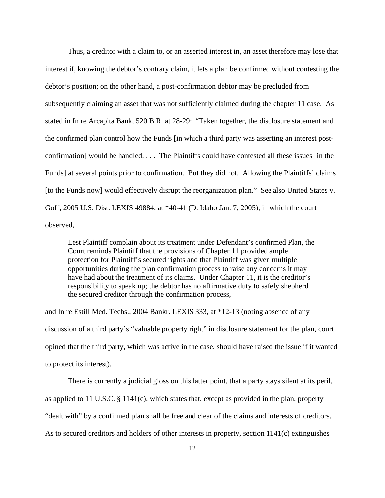Thus, a creditor with a claim to, or an asserted interest in, an asset therefore may lose that interest if, knowing the debtor's contrary claim, it lets a plan be confirmed without contesting the debtor's position; on the other hand, a post-confirmation debtor may be precluded from subsequently claiming an asset that was not sufficiently claimed during the chapter 11 case. As stated in In re Arcapita Bank, 520 B.R. at 28-29: "Taken together, the disclosure statement and the confirmed plan control how the Funds [in which a third party was asserting an interest postconfirmation] would be handled. . . . The Plaintiffs could have contested all these issues [in the Funds] at several points prior to confirmation. But they did not. Allowing the Plaintiffs' claims [to the Funds now] would effectively disrupt the reorganization plan." See also United States v. Goff, 2005 U.S. Dist. LEXIS 49884, at \*40-41 (D. Idaho Jan. 7, 2005), in which the court observed,

Lest Plaintiff complain about its treatment under Defendant's confirmed Plan, the Court reminds Plaintiff that the provisions of Chapter 11 provided ample protection for Plaintiff's secured rights and that Plaintiff was given multiple opportunities during the plan confirmation process to raise any concerns it may have had about the treatment of its claims. Under Chapter 11, it is the creditor's responsibility to speak up; the debtor has no affirmative duty to safely shepherd the secured creditor through the confirmation process,

and In re Estill Med. Techs., 2004 Bankr. LEXIS 333, at \*12-13 (noting absence of any discussion of a third party's "valuable property right" in disclosure statement for the plan, court opined that the third party, which was active in the case, should have raised the issue if it wanted to protect its interest).

 There is currently a judicial gloss on this latter point, that a party stays silent at its peril, as applied to 11 U.S.C. § 1141(c), which states that, except as provided in the plan, property "dealt with" by a confirmed plan shall be free and clear of the claims and interests of creditors. As to secured creditors and holders of other interests in property, section 1141(c) extinguishes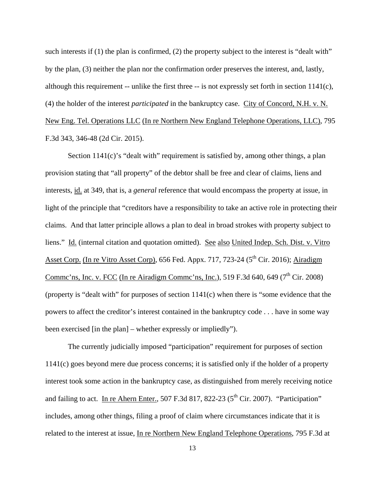such interests if (1) the plan is confirmed, (2) the property subject to the interest is "dealt with" by the plan, (3) neither the plan nor the confirmation order preserves the interest, and, lastly, although this requirement -- unlike the first three -- is not expressly set forth in section 1141(c), (4) the holder of the interest *participated* in the bankruptcy case. City of Concord, N.H. v. N. New Eng. Tel. Operations LLC (In re Northern New England Telephone Operations, LLC), 795 F.3d 343, 346-48 (2d Cir. 2015).

Section 1141(c)'s "dealt with" requirement is satisfied by, among other things, a plan provision stating that "all property" of the debtor shall be free and clear of claims, liens and interests, id. at 349, that is, a *general* reference that would encompass the property at issue, in light of the principle that "creditors have a responsibility to take an active role in protecting their claims. And that latter principle allows a plan to deal in broad strokes with property subject to liens." Id. (internal citation and quotation omitted). See also United Indep. Sch. Dist. v. Vitro Asset Corp. (In re Vitro Asset Corp), 656 Fed. Appx. 717, 723-24 ( $5<sup>th</sup>$  Cir. 2016); Airadigm Commc'ns, Inc. v. FCC (In re Airadigm Commc'ns, Inc.), 519 F.3d 640, 649 ( $7<sup>th</sup>$  Cir. 2008) (property is "dealt with" for purposes of section 1141(c) when there is "some evidence that the powers to affect the creditor's interest contained in the bankruptcy code . . . have in some way been exercised [in the plan] – whether expressly or impliedly").

The currently judicially imposed "participation" requirement for purposes of section 1141(c) goes beyond mere due process concerns; it is satisfied only if the holder of a property interest took some action in the bankruptcy case, as distinguished from merely receiving notice and failing to act. In re Ahern Enter., 507 F.3d 817, 822-23 ( $5<sup>th</sup>$  Cir. 2007). "Participation" includes, among other things, filing a proof of claim where circumstances indicate that it is related to the interest at issue, In re Northern New England Telephone Operations, 795 F.3d at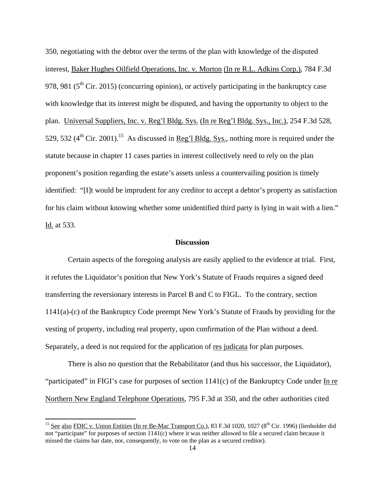350, negotiating with the debtor over the terms of the plan with knowledge of the disputed interest, Baker Hughes Oilfield Operations, Inc. v. Morton (In re R.L. Adkins Corp.), 784 F.3d 978, 981 ( $5<sup>th</sup>$  Cir. 2015) (concurring opinion), or actively participating in the bankruptcy case with knowledge that its interest might be disputed, and having the opportunity to object to the plan. Universal Suppliers, Inc. v. Reg'l Bldg. Sys. (In re Reg'l Bldg. Sys., Inc.), 254 F.3d 528, 529, 532  $(4^{th}$  Cir. 2001).<sup>15</sup> As discussed in Reg'l Bldg. Sys., nothing more is required under the statute because in chapter 11 cases parties in interest collectively need to rely on the plan proponent's position regarding the estate's assets unless a countervailing position is timely identified: "[I]t would be imprudent for any creditor to accept a debtor's property as satisfaction for his claim without knowing whether some unidentified third party is lying in wait with a lien." Id. at 533.

### **Discussion**

Certain aspects of the foregoing analysis are easily applied to the evidence at trial. First, it refutes the Liquidator's position that New York's Statute of Frauds requires a signed deed transferring the reversionary interests in Parcel B and C to FIGL. To the contrary, section 1141(a)-(c) of the Bankruptcy Code preempt New York's Statute of Frauds by providing for the vesting of property, including real property, upon confirmation of the Plan without a deed. Separately, a deed is not required for the application of res judicata for plan purposes.

There is also no question that the Rehabilitator (and thus his successor, the Liquidator), "participated" in FIGI's case for purposes of section 1141(c) of the Bankruptcy Code under In re Northern New England Telephone Operations, 795 F.3d at 350, and the other authorities cited

<sup>&</sup>lt;sup>15</sup> See also FDIC v. Union Entities (In re Be-Mac Transport Co.), 83 F.3d 1020, 1027 ( $8<sup>th</sup>$  Cir. 1996) (lienholder did not "participate" for purposes of section 1141(c) where it was neither allowed to file a secured claim because it missed the claims bar date, nor, consequently, to vote on the plan as a secured creditor).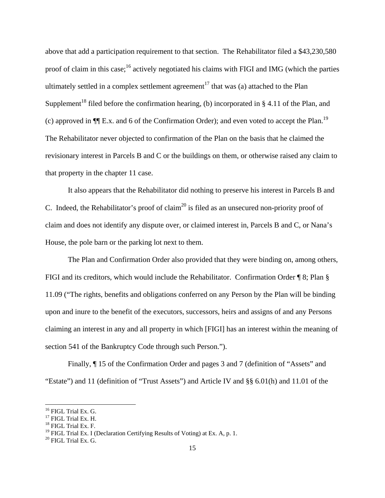above that add a participation requirement to that section. The Rehabilitator filed a \$43,230,580 proof of claim in this case;<sup>16</sup> actively negotiated his claims with FIGI and IMG (which the parties ultimately settled in a complex settlement agreement<sup>17</sup> that was (a) attached to the Plan Supplement<sup>18</sup> filed before the confirmation hearing, (b) incorporated in § 4.11 of the Plan, and (c) approved in  $\P$ [E.x. and 6 of the Confirmation Order); and even voted to accept the Plan.<sup>19</sup> The Rehabilitator never objected to confirmation of the Plan on the basis that he claimed the revisionary interest in Parcels B and C or the buildings on them, or otherwise raised any claim to that property in the chapter 11 case.

It also appears that the Rehabilitator did nothing to preserve his interest in Parcels B and C. Indeed, the Rehabilitator's proof of claim<sup>20</sup> is filed as an unsecured non-priority proof of claim and does not identify any dispute over, or claimed interest in, Parcels B and C, or Nana's House, the pole barn or the parking lot next to them.

The Plan and Confirmation Order also provided that they were binding on, among others, FIGI and its creditors, which would include the Rehabilitator. Confirmation Order ¶ 8; Plan § 11.09 ("The rights, benefits and obligations conferred on any Person by the Plan will be binding upon and inure to the benefit of the executors, successors, heirs and assigns of and any Persons claiming an interest in any and all property in which [FIGI] has an interest within the meaning of section 541 of the Bankruptcy Code through such Person.").

Finally, ¶ 15 of the Confirmation Order and pages 3 and 7 (definition of "Assets" and "Estate") and 11 (definition of "Trust Assets") and Article IV and §§ 6.01(h) and 11.01 of the

<sup>&</sup>lt;sup>16</sup> FIGL Trial Ex. G.

<sup>&</sup>lt;sup>17</sup> FIGL Trial Ex. H.

<sup>18</sup> FIGL Trial Ex. F.

<sup>&</sup>lt;sup>19</sup> FIGL Trial Ex. I (Declaration Certifying Results of Voting) at Ex. A, p. 1.<br><sup>20</sup> FIGL Trial Ex. G.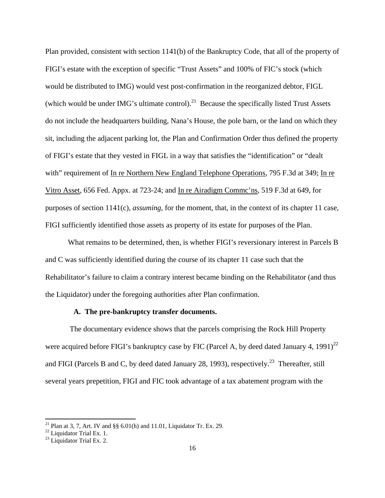Plan provided, consistent with section 1141(b) of the Bankruptcy Code, that all of the property of FIGI's estate with the exception of specific "Trust Assets" and 100% of FIC's stock (which would be distributed to IMG) would vest post-confirmation in the reorganized debtor, FIGL (which would be under IMG's ultimate control).<sup>21</sup> Because the specifically listed Trust Assets do not include the headquarters building, Nana's House, the pole barn, or the land on which they sit, including the adjacent parking lot, the Plan and Confirmation Order thus defined the property of FIGI's estate that they vested in FIGL in a way that satisfies the "identification" or "dealt with" requirement of In re Northern New England Telephone Operations, 795 F.3d at 349; In re Vitro Asset, 656 Fed. Appx. at 723-24; and In re Airadigm Commc'ns, 519 F.3d at 649, for purposes of section 1141(c), *assuming*, for the moment, that, in the context of its chapter 11 case, FIGI sufficiently identified those assets as property of its estate for purposes of the Plan.

What remains to be determined, then, is whether FIGI's reversionary interest in Parcels B and C was sufficiently identified during the course of its chapter 11 case such that the Rehabilitator's failure to claim a contrary interest became binding on the Rehabilitator (and thus the Liquidator) under the foregoing authorities after Plan confirmation.

# **A. The pre-bankruptcy transfer documents.**

 The documentary evidence shows that the parcels comprising the Rock Hill Property were acquired before FIGI's bankruptcy case by FIC (Parcel A, by deed dated January 4, 1991)<sup>22</sup> and FIGI (Parcels B and C, by deed dated January 28, 1993), respectively.<sup>23</sup> Thereafter, still several years prepetition, FIGI and FIC took advantage of a tax abatement program with the

<sup>&</sup>lt;sup>21</sup> Plan at 3, 7, Art. IV and  $\S$ § 6.01(h) and 11.01, Liquidator Tr. Ex. 29.

<sup>&</sup>lt;sup>22</sup> Liquidator Trial Ex. 1.

<sup>&</sup>lt;sup>23</sup> Liquidator Trial Ex. 2.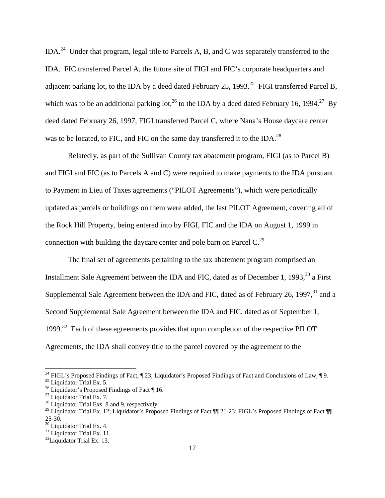IDA.24 Under that program, legal title to Parcels A, B, and C was separately transferred to the IDA. FIC transferred Parcel A, the future site of FIGI and FIC's corporate headquarters and adjacent parking lot, to the IDA by a deed dated February 25, 1993.<sup>25</sup> FIGI transferred Parcel B, which was to be an additional parking lot,<sup>26</sup> to the IDA by a deed dated February 16, 1994.<sup>27</sup> By deed dated February 26, 1997, FIGI transferred Parcel C, where Nana's House daycare center was to be located, to FIC, and FIC on the same day transferred it to the IDA.<sup>28</sup>

Relatedly, as part of the Sullivan County tax abatement program, FIGI (as to Parcel B) and FIGI and FIC (as to Parcels A and C) were required to make payments to the IDA pursuant to Payment in Lieu of Taxes agreements ("PILOT Agreements"), which were periodically updated as parcels or buildings on them were added, the last PILOT Agreement, covering all of the Rock Hill Property, being entered into by FIGI, FIC and the IDA on August 1, 1999 in connection with building the daycare center and pole barn on Parcel  $C<sup>29</sup>$ 

The final set of agreements pertaining to the tax abatement program comprised an Installment Sale Agreement between the IDA and FIC, dated as of December 1, 1993,  $^{30}$  a First Supplemental Sale Agreement between the IDA and FIC, dated as of February 26, 1997,<sup>31</sup> and a Second Supplemental Sale Agreement between the IDA and FIC, dated as of September 1, 1999.<sup>32</sup> Each of these agreements provides that upon completion of the respective PILOT Agreements, the IDA shall convey title to the parcel covered by the agreement to the

<sup>&</sup>lt;sup>24</sup> FIGL's Proposed Findings of Fact,  $\P$  23; Liquidator's Proposed Findings of Fact and Conclusions of Law,  $\P$  9.

<sup>&</sup>lt;sup>25</sup> Liquidator Trial Ex. 5.

<sup>&</sup>lt;sup>26</sup> Liquidator's Proposed Findings of Fact  $\P$  16.

<sup>&</sup>lt;sup>27</sup> Liquidator Trial Ex. 7.

 $28$  Liquidator Trial Exs. 8 and 9, respectively.

<sup>&</sup>lt;sup>29</sup> Liquidator Trial Ex. 12; Liquidator's Proposed Findings of Fact  $\P$  121-23; FIGL's Proposed Findings of Fact  $\P$ 25-30.

<sup>&</sup>lt;sup>30</sup> Liquidator Trial Ex. 4.

<sup>&</sup>lt;sup>31</sup> Liquidator Trial Ex. 11.

 $32$ Liquidator Trial Ex. 13.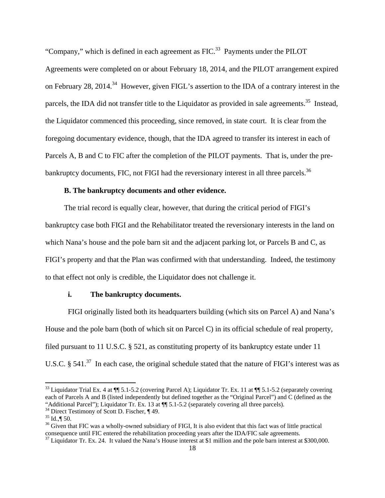"Company," which is defined in each agreement as  $FIC$ <sup>33</sup> Payments under the PILOT Agreements were completed on or about February 18, 2014, and the PILOT arrangement expired on February 28, 2014.<sup>34</sup> However, given FIGL's assertion to the IDA of a contrary interest in the parcels, the IDA did not transfer title to the Liquidator as provided in sale agreements.<sup>35</sup> Instead, the Liquidator commenced this proceeding, since removed, in state court. It is clear from the foregoing documentary evidence, though, that the IDA agreed to transfer its interest in each of Parcels A, B and C to FIC after the completion of the PILOT payments. That is, under the prebankruptcy documents, FIC, not FIGI had the reversionary interest in all three parcels.<sup>36</sup>

# **B. The bankruptcy documents and other evidence.**

 The trial record is equally clear, however, that during the critical period of FIGI's bankruptcy case both FIGI and the Rehabilitator treated the reversionary interests in the land on which Nana's house and the pole barn sit and the adjacent parking lot, or Parcels B and C, as FIGI's property and that the Plan was confirmed with that understanding. Indeed, the testimony to that effect not only is credible, the Liquidator does not challenge it.

### **i. The bankruptcy documents.**

FIGI originally listed both its headquarters building (which sits on Parcel A) and Nana's House and the pole barn (both of which sit on Parcel C) in its official schedule of real property, filed pursuant to 11 U.S.C. § 521, as constituting property of its bankruptcy estate under 11 U.S.C. § 541.<sup>37</sup> In each case, the original schedule stated that the nature of FIGI's interest was as

<sup>&</sup>lt;sup>33</sup> Liquidator Trial Ex. 4 at  $\P$  5.1-5.2 (covering Parcel A); Liquidator Tr. Ex. 11 at  $\P$  5.1-5.2 (separately covering each of Parcels A and B (listed independently but defined together as the "Original Parcel") and C (defined as the "Additional Parcel"); Liquidator Tr. Ex. 13 at  $\P$  5.1-5.2 (separately covering all three parcels). <sup>34</sup> Direct Testimony of Scott D. Fischer,  $\P$  49.

 $35$  Id.,  $\P$  50.

 $36$  Given that FIC was a wholly-owned subsidiary of FIGI, It is also evident that this fact was of little practical consequence until FIC entered the rehabilitation proceeding years after the IDA/FIC sale agreements.

consequence unit FIC enter the IDA and  $\frac{1}{27}$  Liquidator Tr. Ex. 24. It valued the Nana's House interest at \$1 million and the pole barn interest at \$300,000.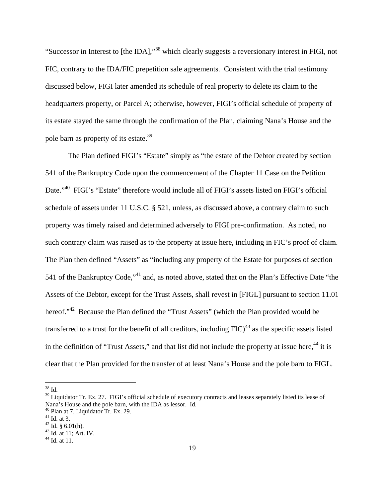"Successor in Interest to [the IDA],"38 which clearly suggests a reversionary interest in FIGI, not FIC, contrary to the IDA/FIC prepetition sale agreements. Consistent with the trial testimony discussed below, FIGI later amended its schedule of real property to delete its claim to the headquarters property, or Parcel A; otherwise, however, FIGI's official schedule of property of its estate stayed the same through the confirmation of the Plan, claiming Nana's House and the pole barn as property of its estate.<sup>39</sup>

The Plan defined FIGI's "Estate" simply as "the estate of the Debtor created by section 541 of the Bankruptcy Code upon the commencement of the Chapter 11 Case on the Petition Date."<sup>40</sup> FIGI's "Estate" therefore would include all of FIGI's assets listed on FIGI's official schedule of assets under 11 U.S.C. § 521, unless, as discussed above, a contrary claim to such property was timely raised and determined adversely to FIGI pre-confirmation. As noted, no such contrary claim was raised as to the property at issue here, including in FIC's proof of claim. The Plan then defined "Assets" as "including any property of the Estate for purposes of section 541 of the Bankruptcy Code."<sup>41</sup> and, as noted above, stated that on the Plan's Effective Date "the Assets of the Debtor, except for the Trust Assets, shall revest in [FIGL] pursuant to section 11.01 hereof."<sup>42</sup> Because the Plan defined the "Trust Assets" (which the Plan provided would be transferred to a trust for the benefit of all creditors, including  $FIC$ <sup>43</sup> as the specific assets listed in the definition of "Trust Assets," and that list did not include the property at issue here,<sup>44</sup> it is clear that the Plan provided for the transfer of at least Nana's House and the pole barn to FIGL.

<sup>38</sup> Id.

<sup>&</sup>lt;sup>39</sup> Liquidator Tr. Ex. 27. FIGI's official schedule of executory contracts and leases separately listed its lease of Nana's House and the pole barn, with the IDA as lessor. Id.

<sup>40</sup> Plan at 7, Liquidator Tr. Ex. 29.

 $41$  Id. at 3.

 $42$  Id. § 6.01(h).

 $43$  Id. at 11; Art. IV.

 $^{44}$  Id. at 11.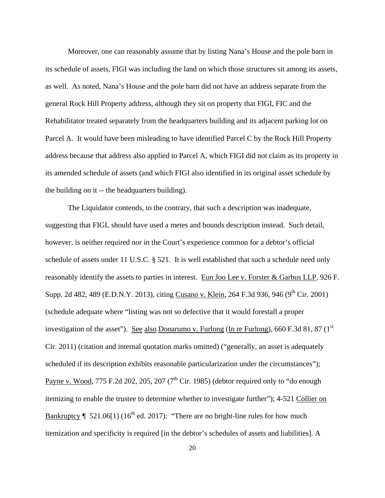Moreover, one can reasonably assume that by listing Nana's House and the pole barn in its schedule of assets, FIGI was including the land on which those structures sit among its assets, as well. As noted, Nana's House and the pole barn did not have an address separate from the general Rock Hill Property address, although they sit on property that FIGI, FIC and the Rehabilitator treated separately from the headquarters building and its adjacent parking lot on Parcel A. It would have been misleading to have identified Parcel C by the Rock Hill Property address because that address also applied to Parcel A, which FIGI did not claim as its property in its amended schedule of assets (and which FIGI also identified in its original asset schedule by the building on it -- the headquarters building).

The Liquidator contends, to the contrary, that such a description was inadequate, suggesting that FIGL should have used a metes and bounds description instead. Such detail, however, is neither required nor in the Court's experience common for a debtor's official schedule of assets under 11 U.S.C. § 521. It is well established that such a schedule need only reasonably identify the assets to parties in interest. Eun Joo Lee v. Forster & Garbus LLP, 926 F. Supp. 2d 482, 489 (E.D.N.Y. 2013), citing Cusano v. Klein, 264 F.3d 936, 946 (9<sup>th</sup> Cir. 2001) (schedule adequate where "listing was not so defective that it would forestall a proper investigation of the asset"). See also Donarumo v. Furlong (In re Furlong), 660 F.3d 81, 87 ( $1<sup>st</sup>$ Cir. 2011) (citation and internal quotation marks omitted) ("generally, an asset is adequately scheduled if its description exhibits reasonable particularization under the circumstances"); Payne v. Wood, 775 F.2d 202, 205, 207 ( $7<sup>th</sup>$  Cir. 1985) (debtor required only to "do enough itemizing to enable the trustee to determine whether to investigate further"); 4-521 Collier on Bankruptcy  $\P$  521.06[1] (16<sup>th</sup> ed. 2017): "There are no bright-line rules for how much itemization and specificity is required [in the debtor's schedules of assets and liabilities]. A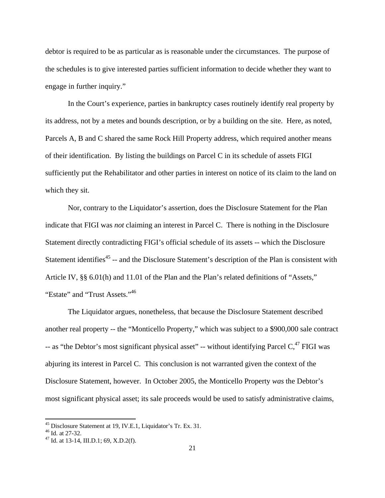debtor is required to be as particular as is reasonable under the circumstances. The purpose of the schedules is to give interested parties sufficient information to decide whether they want to engage in further inquiry."

In the Court's experience, parties in bankruptcy cases routinely identify real property by its address, not by a metes and bounds description, or by a building on the site. Here, as noted, Parcels A, B and C shared the same Rock Hill Property address, which required another means of their identification. By listing the buildings on Parcel C in its schedule of assets FIGI sufficiently put the Rehabilitator and other parties in interest on notice of its claim to the land on which they sit.

Nor, contrary to the Liquidator's assertion, does the Disclosure Statement for the Plan indicate that FIGI was *not* claiming an interest in Parcel C. There is nothing in the Disclosure Statement directly contradicting FIGI's official schedule of its assets -- which the Disclosure Statement identifies<sup>45</sup> -- and the Disclosure Statement's description of the Plan is consistent with Article IV, §§ 6.01(h) and 11.01 of the Plan and the Plan's related definitions of "Assets," "Estate" and "Trust Assets."<sup>46</sup>

The Liquidator argues, nonetheless, that because the Disclosure Statement described another real property -- the "Monticello Property," which was subject to a \$900,000 sale contract -- as "the Debtor's most significant physical asset" -- without identifying Parcel  $C<sub>1</sub><sup>47</sup>$  FIGI was abjuring its interest in Parcel C. This conclusion is not warranted given the context of the Disclosure Statement, however. In October 2005, the Monticello Property *was* the Debtor's most significant physical asset; its sale proceeds would be used to satisfy administrative claims,

<sup>&</sup>lt;sup>45</sup> Disclosure Statement at 19, IV.E.1, Liquidator's Tr. Ex. 31.  $^{46}$  Id. at 27-32.

 $47$  Id. at 13-14, III.D.1; 69, X.D.2(f).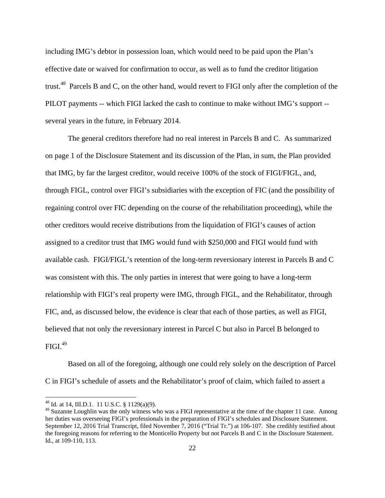including IMG's debtor in possession loan, which would need to be paid upon the Plan's effective date or waived for confirmation to occur, as well as to fund the creditor litigation trust.<sup>48</sup> Parcels B and C, on the other hand, would revert to FIGI only after the completion of the PILOT payments -- which FIGI lacked the cash to continue to make without IMG's support - several years in the future, in February 2014.

The general creditors therefore had no real interest in Parcels B and C. As summarized on page 1 of the Disclosure Statement and its discussion of the Plan, in sum, the Plan provided that IMG, by far the largest creditor, would receive 100% of the stock of FIGI/FIGL, and, through FIGL, control over FIGI's subsidiaries with the exception of FIC (and the possibility of regaining control over FIC depending on the course of the rehabilitation proceeding), while the other creditors would receive distributions from the liquidation of FIGI's causes of action assigned to a creditor trust that IMG would fund with \$250,000 and FIGI would fund with available cash. FIGI/FIGL's retention of the long-term reversionary interest in Parcels B and C was consistent with this. The only parties in interest that were going to have a long-term relationship with FIGI's real property were IMG, through FIGL, and the Rehabilitator, through FIC, and, as discussed below, the evidence is clear that each of those parties, as well as FIGI, believed that not only the reversionary interest in Parcel C but also in Parcel B belonged to  $FIGI.<sup>49</sup>$ 

Based on all of the foregoing, although one could rely solely on the description of Parcel C in FIGI's schedule of assets and the Rehabilitator's proof of claim, which failed to assert a

<sup>&</sup>lt;sup>48</sup> Id. at 14, III.D.1. 11 U.S.C. § 1129(a)(9).

<sup>&</sup>lt;sup>49</sup> Suzanne Loughlin was the only witness who was a FIGI representative at the time of the chapter 11 case. Among her duties was overseeing FIGI's professionals in the preparation of FIGI's schedules and Disclosure Statement. September 12, 2016 Trial Transcript, filed November 7, 2016 ("Trial Tr.") at 106-107. She credibly testified about the foregoing reasons for referring to the Monticello Property but not Parcels B and C in the Disclosure Statement. Id., at 109-110, 113.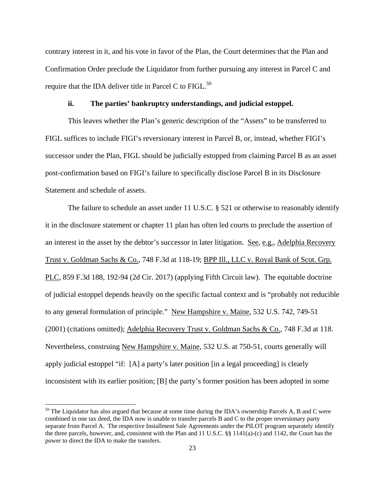contrary interest in it, and his vote in favor of the Plan, the Court determines that the Plan and Confirmation Order preclude the Liquidator from further pursuing any interest in Parcel C and require that the IDA deliver title in Parcel C to FIGL. $^{50}$ 

# **ii. The parties' bankruptcy understandings, and judicial estoppel.**

This leaves whether the Plan's generic description of the "Assets" to be transferred to FIGL suffices to include FIGI's reversionary interest in Parcel B, or, instead, whether FIGI's successor under the Plan, FIGL should be judicially estopped from claiming Parcel B as an asset post-confirmation based on FIGI's failure to specifically disclose Parcel B in its Disclosure Statement and schedule of assets.

The failure to schedule an asset under 11 U.S.C. § 521 or otherwise to reasonably identify it in the disclosure statement or chapter 11 plan has often led courts to preclude the assertion of an interest in the asset by the debtor's successor in later litigation. See, e.g., Adelphia Recovery Trust v. Goldman Sachs & Co., 748 F.3d at 118-19; BPP Ill., LLC v. Royal Bank of Scot. Grp. PLC, 859 F.3d 188, 192-94 (2d Cir. 2017) (applying Fifth Circuit law). The equitable doctrine of judicial estoppel depends heavily on the specific factual context and is "probably not reducible to any general formulation of principle." New Hampshire v. Maine, 532 U.S. 742, 749-51 (2001) (citations omitted); Adelphia Recovery Trust v. Goldman Sachs & Co., 748 F.3d at 118. Nevertheless, construing New Hampshire v. Maine, 532 U.S. at 750-51, courts generally will apply judicial estoppel "if: [A] a party's later position [in a legal proceeding] is clearly inconsistent with its earlier position; [B] the party's former position has been adopted in some

<sup>&</sup>lt;sup>50</sup> The Liquidator has also argued that because at some time during the IDA's ownership Parcels A, B and C were combined in one tax deed, the IDA now is unable to transfer parcels B and C to the proper reversionary party separate from Parcel A. The respective Installment Sale Agreements under the PILOT program separately identify the three parcels, however, and, consistent with the Plan and 11 U.S.C. §§ 1141(a)-(c) and 1142, the Court has the power to direct the IDA to make the transfers.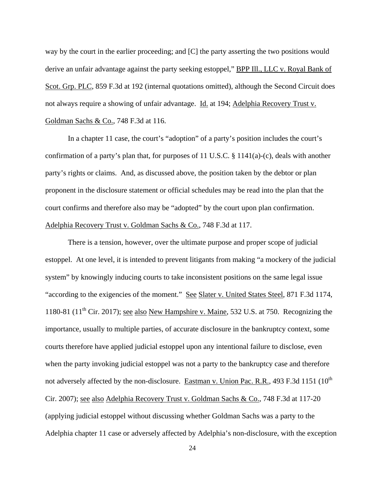way by the court in the earlier proceeding; and [C] the party asserting the two positions would derive an unfair advantage against the party seeking estoppel," BPP Ill., LLC v. Royal Bank of Scot. Grp. PLC, 859 F.3d at 192 (internal quotations omitted), although the Second Circuit does not always require a showing of unfair advantage. Id. at 194; Adelphia Recovery Trust v. Goldman Sachs & Co., 748 F.3d at 116.

In a chapter 11 case, the court's "adoption" of a party's position includes the court's confirmation of a party's plan that, for purposes of 11 U.S.C. § 1141(a)-(c), deals with another party's rights or claims. And, as discussed above, the position taken by the debtor or plan proponent in the disclosure statement or official schedules may be read into the plan that the court confirms and therefore also may be "adopted" by the court upon plan confirmation. Adelphia Recovery Trust v. Goldman Sachs & Co., 748 F.3d at 117.

There is a tension, however, over the ultimate purpose and proper scope of judicial estoppel. At one level, it is intended to prevent litigants from making "a mockery of the judicial system" by knowingly inducing courts to take inconsistent positions on the same legal issue "according to the exigencies of the moment." See Slater v. United States Steel, 871 F.3d 1174, 1180-81 ( $11^{th}$  Cir. 2017); see also New Hampshire v. Maine, 532 U.S. at 750. Recognizing the importance, usually to multiple parties, of accurate disclosure in the bankruptcy context, some courts therefore have applied judicial estoppel upon any intentional failure to disclose, even when the party invoking judicial estoppel was not a party to the bankruptcy case and therefore not adversely affected by the non-disclosure. Eastman v. Union Pac. R.R., 493 F.3d 1151 (10<sup>th</sup> Cir. 2007); see also Adelphia Recovery Trust v. Goldman Sachs & Co., 748 F.3d at 117-20 (applying judicial estoppel without discussing whether Goldman Sachs was a party to the Adelphia chapter 11 case or adversely affected by Adelphia's non-disclosure, with the exception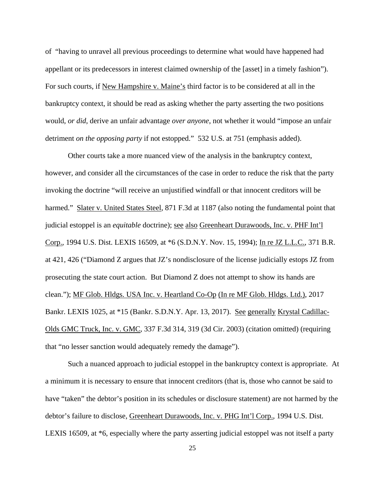of "having to unravel all previous proceedings to determine what would have happened had appellant or its predecessors in interest claimed ownership of the [asset] in a timely fashion"). For such courts, if New Hampshire v. Maine's third factor is to be considered at all in the bankruptcy context, it should be read as asking whether the party asserting the two positions would, *or did*, derive an unfair advantage *over anyone*, not whether it would "impose an unfair detriment *on the opposing party* if not estopped." 532 U.S. at 751 (emphasis added).

Other courts take a more nuanced view of the analysis in the bankruptcy context, however, and consider all the circumstances of the case in order to reduce the risk that the party invoking the doctrine "will receive an unjustified windfall or that innocent creditors will be harmed." Slater v. United States Steel, 871 F.3d at 1187 (also noting the fundamental point that judicial estoppel is an *equitable* doctrine); see also Greenheart Durawoods, Inc. v. PHF Int'l Corp., 1994 U.S. Dist. LEXIS 16509, at \*6 (S.D.N.Y. Nov. 15, 1994); In re JZ L.L.C., 371 B.R. at 421, 426 ("Diamond Z argues that JZ's nondisclosure of the license judicially estops JZ from prosecuting the state court action. But Diamond Z does not attempt to show its hands are clean."); MF Glob. Hldgs. USA Inc. v. Heartland Co-Op (In re MF Glob. Hldgs. Ltd.), 2017 Bankr. LEXIS 1025, at \*15 (Bankr. S.D.N.Y. Apr. 13, 2017). See generally Krystal Cadillac-Olds GMC Truck, Inc. v. GMC, 337 F.3d 314, 319 (3d Cir. 2003) (citation omitted) (requiring that "no lesser sanction would adequately remedy the damage").

Such a nuanced approach to judicial estoppel in the bankruptcy context is appropriate. At a minimum it is necessary to ensure that innocent creditors (that is, those who cannot be said to have "taken" the debtor's position in its schedules or disclosure statement) are not harmed by the debtor's failure to disclose, Greenheart Durawoods, Inc. v. PHG Int'l Corp., 1994 U.S. Dist. LEXIS 16509, at \*6, especially where the party asserting judicial estoppel was not itself a party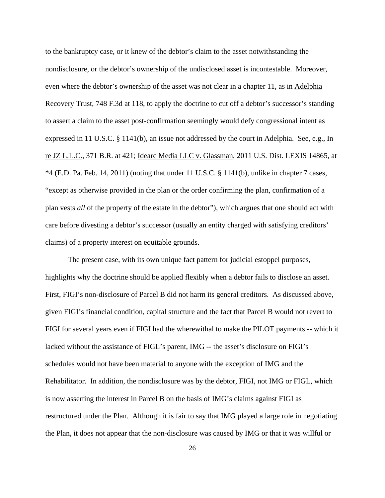to the bankruptcy case, or it knew of the debtor's claim to the asset notwithstanding the nondisclosure, or the debtor's ownership of the undisclosed asset is incontestable. Moreover, even where the debtor's ownership of the asset was not clear in a chapter 11, as in Adelphia Recovery Trust, 748 F.3d at 118, to apply the doctrine to cut off a debtor's successor's standing to assert a claim to the asset post-confirmation seemingly would defy congressional intent as expressed in 11 U.S.C. § 1141(b), an issue not addressed by the court in Adelphia. See, e.g., In re JZ L.L.C., 371 B.R. at 421; Idearc Media LLC v. Glassman, 2011 U.S. Dist. LEXIS 14865, at \*4 (E.D. Pa. Feb. 14, 2011) (noting that under 11 U.S.C. § 1141(b), unlike in chapter 7 cases, "except as otherwise provided in the plan or the order confirming the plan, confirmation of a plan vests *all* of the property of the estate in the debtor"), which argues that one should act with care before divesting a debtor's successor (usually an entity charged with satisfying creditors' claims) of a property interest on equitable grounds.

The present case, with its own unique fact pattern for judicial estoppel purposes, highlights why the doctrine should be applied flexibly when a debtor fails to disclose an asset. First, FIGI's non-disclosure of Parcel B did not harm its general creditors. As discussed above, given FIGI's financial condition, capital structure and the fact that Parcel B would not revert to FIGI for several years even if FIGI had the wherewithal to make the PILOT payments -- which it lacked without the assistance of FIGL's parent, IMG -- the asset's disclosure on FIGI's schedules would not have been material to anyone with the exception of IMG and the Rehabilitator. In addition, the nondisclosure was by the debtor, FIGI, not IMG or FIGL, which is now asserting the interest in Parcel B on the basis of IMG's claims against FIGI as restructured under the Plan. Although it is fair to say that IMG played a large role in negotiating the Plan, it does not appear that the non-disclosure was caused by IMG or that it was willful or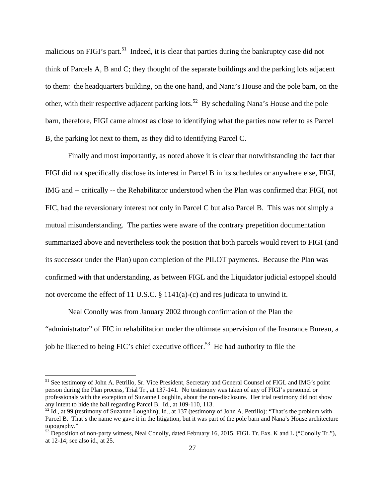malicious on FIGI's part.<sup>51</sup> Indeed, it is clear that parties during the bankruptcy case did not think of Parcels A, B and C; they thought of the separate buildings and the parking lots adjacent to them: the headquarters building, on the one hand, and Nana's House and the pole barn, on the other, with their respective adjacent parking lots.<sup>52</sup> By scheduling Nana's House and the pole barn, therefore, FIGI came almost as close to identifying what the parties now refer to as Parcel B, the parking lot next to them, as they did to identifying Parcel C.

Finally and most importantly, as noted above it is clear that notwithstanding the fact that FIGI did not specifically disclose its interest in Parcel B in its schedules or anywhere else, FIGI, IMG and -- critically -- the Rehabilitator understood when the Plan was confirmed that FIGI, not FIC, had the reversionary interest not only in Parcel C but also Parcel B. This was not simply a mutual misunderstanding. The parties were aware of the contrary prepetition documentation summarized above and nevertheless took the position that both parcels would revert to FIGI (and its successor under the Plan) upon completion of the PILOT payments. Because the Plan was confirmed with that understanding, as between FIGL and the Liquidator judicial estoppel should not overcome the effect of 11 U.S.C. § 1141(a)-(c) and res judicata to unwind it.

Neal Conolly was from January 2002 through confirmation of the Plan the "administrator" of FIC in rehabilitation under the ultimate supervision of the Insurance Bureau, a job he likened to being FIC's chief executive officer.<sup>53</sup> He had authority to file the

<sup>&</sup>lt;sup>51</sup> See testimony of John A. Petrillo, Sr. Vice President, Secretary and General Counsel of FIGL and IMG's point person during the Plan process, Trial Tr., at 137-141. No testimony was taken of any of FIGI's personnel or professionals with the exception of Suzanne Loughlin, about the non-disclosure. Her trial testimony did not show any intent to hide the ball regarding Parcel B. Id., at 109-110, 113.

 $52$  Id., at 99 (testimony of Suzanne Loughlin); Id., at 137 (testimony of John A. Petrillo): "That's the problem with Parcel B. That's the name we gave it in the litigation, but it was part of the pole barn and Nana's House architecture topography."

 $^{53}$  Deposition of non-party witness, Neal Conolly, dated February 16, 2015. FIGL Tr. Exs. K and L ("Conolly Tr."), at 12-14; see also id., at 25.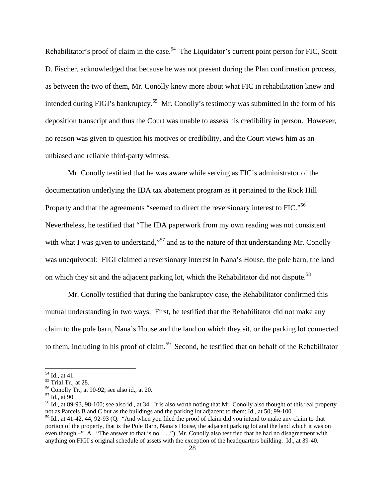Rehabilitator's proof of claim in the case.<sup>54</sup> The Liquidator's current point person for FIC, Scott D. Fischer, acknowledged that because he was not present during the Plan confirmation process, as between the two of them, Mr. Conolly knew more about what FIC in rehabilitation knew and intended during FIGI's bankruptcy.<sup>55</sup> Mr. Conolly's testimony was submitted in the form of his deposition transcript and thus the Court was unable to assess his credibility in person. However, no reason was given to question his motives or credibility, and the Court views him as an unbiased and reliable third-party witness.

Mr. Conolly testified that he was aware while serving as FIC's administrator of the documentation underlying the IDA tax abatement program as it pertained to the Rock Hill Property and that the agreements "seemed to direct the reversionary interest to FIC."<sup>56</sup> Nevertheless, he testified that "The IDA paperwork from my own reading was not consistent with what I was given to understand,"<sup>57</sup> and as to the nature of that understanding Mr. Conolly was unequivocal: FIGI claimed a reversionary interest in Nana's House, the pole barn, the land on which they sit and the adjacent parking lot, which the Rehabilitator did not dispute.<sup>58</sup>

Mr. Conolly testified that during the bankruptcy case, the Rehabilitator confirmed this mutual understanding in two ways. First, he testified that the Rehabilitator did not make any claim to the pole barn, Nana's House and the land on which they sit, or the parking lot connected to them, including in his proof of claim.<sup>59</sup> Second, he testified that on behalf of the Rehabilitator

 $54$  Id., at 41.

<sup>55</sup> Trial Tr., at 28.

<sup>56</sup> Conolly Tr., at 90-92; see also id., at 20.

 $57$  Id., at 90

<sup>58</sup> Id., at 89-93, 98-100; see also id., at 34. It is also worth noting that Mr. Conolly also thought of this real property not as Parcels B and C but as the buildings and the parking lot adjacent to them: Id., at 50; 99-100.

<sup>59</sup> Id., at 41-42, 44, 92-93 (Q. "And when you filed the proof of claim did you intend to make any claim to that portion of the property, that is the Pole Barn, Nana's House, the adjacent parking lot and the land which it was on even though  $-\overline{N}$  A. "The answer to that is no. . .") Mr. Conolly also testified that he had no disagreement with anything on FIGI's original schedule of assets with the exception of the headquarters building. Id., at 39-40.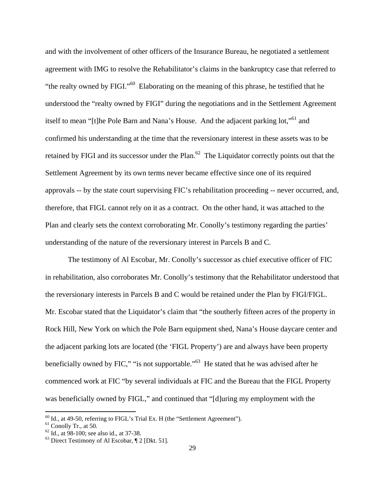and with the involvement of other officers of the Insurance Bureau, he negotiated a settlement agreement with IMG to resolve the Rehabilitator's claims in the bankruptcy case that referred to "the realty owned by FIGI."<sup>60</sup> Elaborating on the meaning of this phrase, he testified that he understood the "realty owned by FIGI" during the negotiations and in the Settlement Agreement itself to mean "[t]he Pole Barn and Nana's House. And the adjacent parking lot,"<sup>61</sup> and confirmed his understanding at the time that the reversionary interest in these assets was to be retained by FIGI and its successor under the Plan.<sup>62</sup> The Liquidator correctly points out that the Settlement Agreement by its own terms never became effective since one of its required approvals -- by the state court supervising FIC's rehabilitation proceeding -- never occurred, and, therefore, that FIGL cannot rely on it as a contract. On the other hand, it was attached to the Plan and clearly sets the context corroborating Mr. Conolly's testimony regarding the parties' understanding of the nature of the reversionary interest in Parcels B and C.

The testimony of Al Escobar, Mr. Conolly's successor as chief executive officer of FIC in rehabilitation, also corroborates Mr. Conolly's testimony that the Rehabilitator understood that the reversionary interests in Parcels B and C would be retained under the Plan by FIGI/FIGL. Mr. Escobar stated that the Liquidator's claim that "the southerly fifteen acres of the property in Rock Hill, New York on which the Pole Barn equipment shed, Nana's House daycare center and the adjacent parking lots are located (the 'FIGL Property') are and always have been property beneficially owned by FIC," "is not supportable."63 He stated that he was advised after he commenced work at FIC "by several individuals at FIC and the Bureau that the FIGL Property was beneficially owned by FIGL," and continued that "[d]uring my employment with the

 $^{60}$  Id., at 49-50, referring to FIGL's Trial Ex. H (the "Settlement Agreement").<br><sup>61</sup> Conolly Tr., at 50.

<sup>&</sup>lt;sup>61</sup> Conolly Tr., at 50.<br><sup>62</sup> Id., at 98-100; see also id., at 37-38.<br><sup>63</sup> Direct Testimony of Al Escobar, ¶ 2 [Dkt. 51].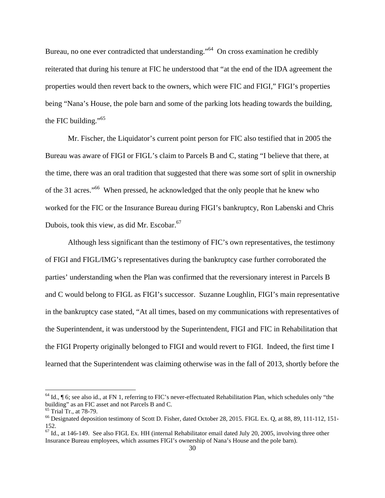Bureau, no one ever contradicted that understanding."<sup>64</sup> On cross examination he credibly reiterated that during his tenure at FIC he understood that "at the end of the IDA agreement the properties would then revert back to the owners, which were FIC and FIGI," FIGI's properties being "Nana's House, the pole barn and some of the parking lots heading towards the building, the FIC building."<sup>65</sup>

Mr. Fischer, the Liquidator's current point person for FIC also testified that in 2005 the Bureau was aware of FIGI or FIGL's claim to Parcels B and C, stating "I believe that there, at the time, there was an oral tradition that suggested that there was some sort of split in ownership of the 31 acres."<sup>66</sup> When pressed, he acknowledged that the only people that he knew who worked for the FIC or the Insurance Bureau during FIGI's bankruptcy, Ron Labenski and Chris Dubois, took this view, as did Mr. Escobar.<sup>67</sup>

Although less significant than the testimony of FIC's own representatives, the testimony of FIGI and FIGL/IMG's representatives during the bankruptcy case further corroborated the parties' understanding when the Plan was confirmed that the reversionary interest in Parcels B and C would belong to FIGL as FIGI's successor. Suzanne Loughlin, FIGI's main representative in the bankruptcy case stated, "At all times, based on my communications with representatives of the Superintendent, it was understood by the Superintendent, FIGI and FIC in Rehabilitation that the FIGI Property originally belonged to FIGI and would revert to FIGI. Indeed, the first time I learned that the Superintendent was claiming otherwise was in the fall of 2013, shortly before the

 $64$  Id.,  $\parallel$  6; see also id., at FN 1, referring to FIC's never-effectuated Rehabilitation Plan, which schedules only "the building" as an FIC asset and not Parcels B and C.

<sup>&</sup>lt;sup>65</sup> Trial Tr., at 78-79.

<sup>66</sup> Designated deposition testimony of Scott D. Fisher, dated October 28, 2015. FIGL Ex. Q, at 88, 89, 111-112, 151- 152.

 $^{67}$  Id., at 146-149. See also FIGL Ex. HH (internal Rehabilitator email dated July 20, 2005, involving three other Insurance Bureau employees, which assumes FIGI's ownership of Nana's House and the pole barn).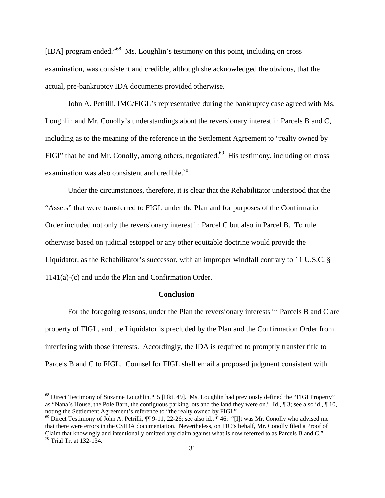[IDA] program ended."68 Ms. Loughlin's testimony on this point, including on cross examination, was consistent and credible, although she acknowledged the obvious, that the actual, pre-bankruptcy IDA documents provided otherwise.

John A. Petrilli, IMG/FIGL's representative during the bankruptcy case agreed with Ms. Loughlin and Mr. Conolly's understandings about the reversionary interest in Parcels B and C, including as to the meaning of the reference in the Settlement Agreement to "realty owned by FIGI" that he and Mr. Conolly, among others, negotiated.<sup>69</sup> His testimony, including on cross examination was also consistent and credible.<sup>70</sup>

Under the circumstances, therefore, it is clear that the Rehabilitator understood that the "Assets" that were transferred to FIGL under the Plan and for purposes of the Confirmation Order included not only the reversionary interest in Parcel C but also in Parcel B. To rule otherwise based on judicial estoppel or any other equitable doctrine would provide the Liquidator, as the Rehabilitator's successor, with an improper windfall contrary to 11 U.S.C. § 1141(a)-(c) and undo the Plan and Confirmation Order.

### **Conclusion**

For the foregoing reasons, under the Plan the reversionary interests in Parcels B and C are property of FIGL, and the Liquidator is precluded by the Plan and the Confirmation Order from interfering with those interests. Accordingly, the IDA is required to promptly transfer title to Parcels B and C to FIGL. Counsel for FIGL shall email a proposed judgment consistent with

<sup>68</sup> Direct Testimony of Suzanne Loughlin, ¶ 5 [Dkt. 49]. Ms. Loughlin had previously defined the "FIGI Property" as "Nana's House, the Pole Barn, the contiguous parking lots and the land they were on." Id., ¶ 3; see also id., ¶ 10, noting the Settlement Agreement's reference to "the realty owned by FIGI."

 $^{69}$  Direct Testimony of John A. Petrilli,  $\P\P$  9-11, 22-26; see also id.,  $\P$  46: "[I]t was Mr. Conolly who advised me that there were errors in the CSIDA documentation. Nevertheless, on FIC's behalf, Mr. Conolly filed a Proof of Claim that knowingly and intentionally omitted any claim against what is now referred to as Parcels B and C."  $\frac{70}{11}$  Trial Tr. at 132-134.